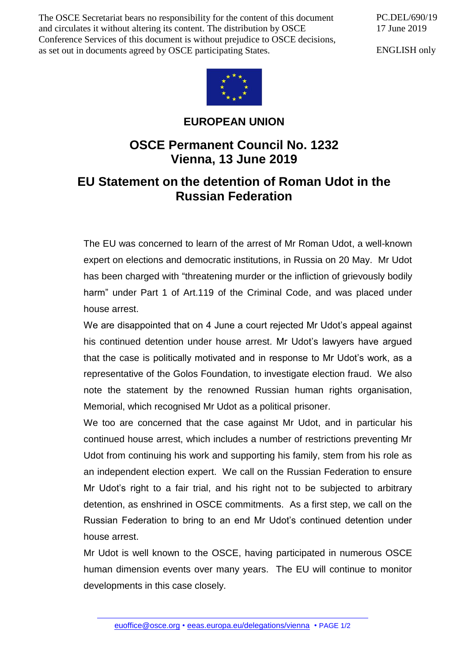The OSCE Secretariat bears no responsibility for the content of this document and circulates it without altering its content. The distribution by OSCE Conference Services of this document is without prejudice to OSCE decisions, as set out in documents agreed by OSCE participating States.

PC.DEL/690/19 17 June 2019

ENGLISH only



## **EUROPEAN UNION**

## **OSCE Permanent Council No. 1232 Vienna, 13 June 2019**

## **EU Statement on the detention of Roman Udot in the Russian Federation**

The EU was concerned to learn of the arrest of Mr Roman Udot, a well-known expert on elections and democratic institutions, in Russia on 20 May. Mr Udot has been charged with "threatening murder or the infliction of grievously bodily harm" under Part 1 of Art.119 of the Criminal Code, and was placed under house arrest.

We are disappointed that on 4 June a court rejected Mr Udot's appeal against his continued detention under house arrest. Mr Udot's lawyers have argued that the case is politically motivated and in response to Mr Udot's work, as a representative of the Golos Foundation, to investigate election fraud. We also note the statement by the renowned Russian human rights organisation, Memorial, which recognised Mr Udot as a political prisoner.

We too are concerned that the case against Mr Udot, and in particular his continued house arrest, which includes a number of restrictions preventing Mr Udot from continuing his work and supporting his family, stem from his role as an independent election expert. We call on the Russian Federation to ensure Mr Udot's right to a fair trial, and his right not to be subjected to arbitrary detention, as enshrined in OSCE commitments. As a first step, we call on the Russian Federation to bring to an end Mr Udot's continued detention under house arrest.

Mr Udot is well known to the OSCE, having participated in numerous OSCE human dimension events over many years. The EU will continue to monitor developments in this case closely.